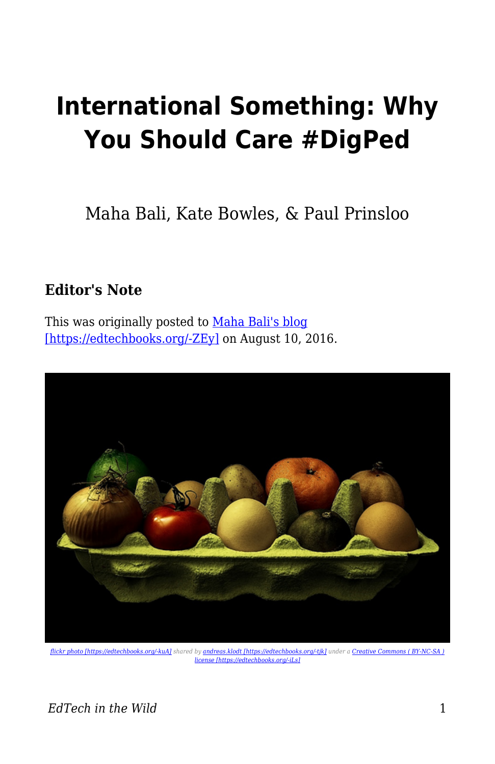## **International Something: Why You Should Care #DigPed**

Maha Bali, Kate Bowles, & Paul Prinsloo

## **Editor's Note**

This was originally posted to [Maha Bali's blog](http://mahabali.me/edcontexts/contexts-matter/international-something-why-you-should-care-digped/) [\[https://edtechbooks.org/-ZEy\]](http://mahabali.me/edcontexts/contexts-matter/international-something-why-you-should-care-digped/) on August 10, 2016.



*[flickr photo \[https://edtechbooks.org/-kuA\]](https://flickr.com/photos/andreas_klodt/16009063987) shared by [andreas.klodt \[https://edtechbooks.org/-tjk\]](https://flickr.com/people/andreas_klodt) under a [Creative Commons \( BY-NC-SA \)](https://creativecommons.org/licenses/by-nc-sa/2.0/) [license \[https://edtechbooks.org/-iLs\]](https://creativecommons.org/licenses/by-nc-sa/2.0/)*

*EdTech in the Wild* 1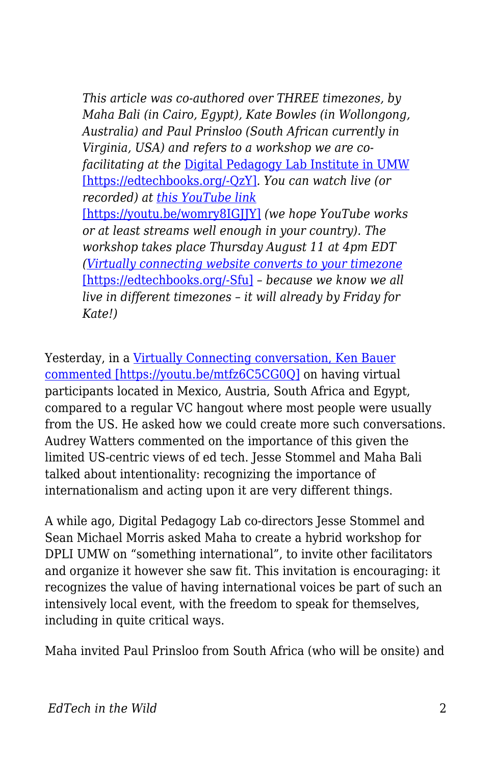*This article was co-authored over THREE timezones, by Maha Bali (in Cairo, Egypt), Kate Bowles (in Wollongong, Australia) and Paul Prinsloo (South African currently in Virginia, USA) and refers to a workshop we are cofacilitating at the* [Digital Pedagogy Lab Institute in UMW](http://digitalpedagogylab.com/institute) [\[https://edtechbooks.org/-QzY\]](http://digitalpedagogylab.com/institute)*. You can watch live (or recorded) at [this YouTube link](https://youtu.be/womry8IGJJY)* [\[https://youtu.be/womry8IGJJY\]](https://youtu.be/womry8IGJJY) *(we hope YouTube works or at least streams well enough in your country). The workshop takes place Thursday August 11 at 4pm EDT ([Virtually connecting website converts to your timezone](http://virtuallyconnecting.org/announcements/we-are-vconnecting-from-digpedlab-umw-digped/)* [\[https://edtechbooks.org/-Sfu\]](http://virtuallyconnecting.org/announcements/we-are-vconnecting-from-digpedlab-umw-digped/) *– because we know we all live in different timezones – it will already by Friday for Kate!)*

Yesterday, in a [Virtually Connecting conversation, Ken Bauer](https://youtu.be/mtfz6C5CG0Q) [commented \[https://youtu.be/mtfz6C5CG0Q\]](https://youtu.be/mtfz6C5CG0Q) on having virtual participants located in Mexico, Austria, South Africa and Egypt, compared to a regular VC hangout where most people were usually from the US. He asked how we could create more such conversations. Audrey Watters commented on the importance of this given the limited US-centric views of ed tech. Jesse Stommel and Maha Bali talked about intentionality: recognizing the importance of internationalism and acting upon it are very different things.

A while ago, Digital Pedagogy Lab co-directors Jesse Stommel and Sean Michael Morris asked Maha to create a hybrid workshop for DPLI UMW on "something international", to invite other facilitators and organize it however she saw fit. This invitation is encouraging: it recognizes the value of having international voices be part of such an intensively local event, with the freedom to speak for themselves, including in quite critical ways.

Maha invited Paul Prinsloo from South Africa (who will be onsite) and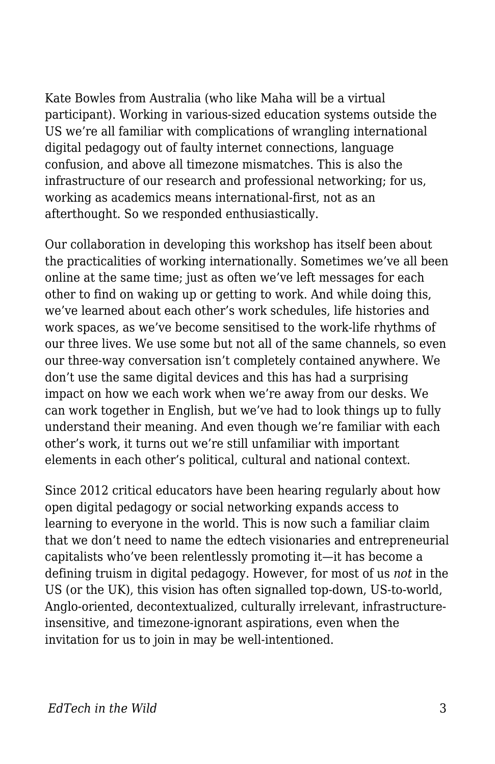Kate Bowles from Australia (who like Maha will be a virtual participant). Working in various-sized education systems outside the US we're all familiar with complications of wrangling international digital pedagogy out of faulty internet connections, language confusion, and above all timezone mismatches. This is also the infrastructure of our research and professional networking; for us, working as academics means international-first, not as an afterthought. So we responded enthusiastically.

Our collaboration in developing this workshop has itself been about the practicalities of working internationally. Sometimes we've all been online at the same time; just as often we've left messages for each other to find on waking up or getting to work. And while doing this, we've learned about each other's work schedules, life histories and work spaces, as we've become sensitised to the work-life rhythms of our three lives. We use some but not all of the same channels, so even our three-way conversation isn't completely contained anywhere. We don't use the same digital devices and this has had a surprising impact on how we each work when we're away from our desks. We can work together in English, but we've had to look things up to fully understand their meaning. And even though we're familiar with each other's work, it turns out we're still unfamiliar with important elements in each other's political, cultural and national context.

Since 2012 critical educators have been hearing regularly about how open digital pedagogy or social networking expands access to learning to everyone in the world. This is now such a familiar claim that we don't need to name the edtech visionaries and entrepreneurial capitalists who've been relentlessly promoting it—it has become a defining truism in digital pedagogy. However, for most of us *not* in the US (or the UK), this vision has often signalled top-down, US-to-world, Anglo-oriented, decontextualized, culturally irrelevant, infrastructureinsensitive, and timezone-ignorant aspirations, even when the invitation for us to join in may be well-intentioned.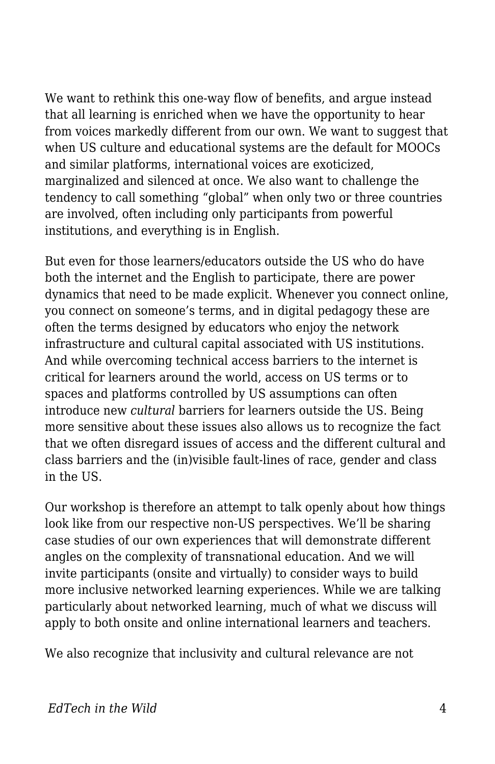We want to rethink this one-way flow of benefits, and argue instead that all learning is enriched when we have the opportunity to hear from voices markedly different from our own. We want to suggest that when US culture and educational systems are the default for MOOCs and similar platforms, international voices are exoticized, marginalized and silenced at once. We also want to challenge the tendency to call something "global" when only two or three countries are involved, often including only participants from powerful institutions, and everything is in English.

But even for those learners/educators outside the US who do have both the internet and the English to participate, there are power dynamics that need to be made explicit. Whenever you connect online, you connect on someone's terms, and in digital pedagogy these are often the terms designed by educators who enjoy the network infrastructure and cultural capital associated with US institutions. And while overcoming technical access barriers to the internet is critical for learners around the world, access on US terms or to spaces and platforms controlled by US assumptions can often introduce new *cultural* barriers for learners outside the US. Being more sensitive about these issues also allows us to recognize the fact that we often disregard issues of access and the different cultural and class barriers and the (in)visible fault-lines of race, gender and class in the US.

Our workshop is therefore an attempt to talk openly about how things look like from our respective non-US perspectives. We'll be sharing case studies of our own experiences that will demonstrate different angles on the complexity of transnational education. And we will invite participants (onsite and virtually) to consider ways to build more inclusive networked learning experiences. While we are talking particularly about networked learning, much of what we discuss will apply to both onsite and online international learners and teachers.

We also recognize that inclusivity and cultural relevance are not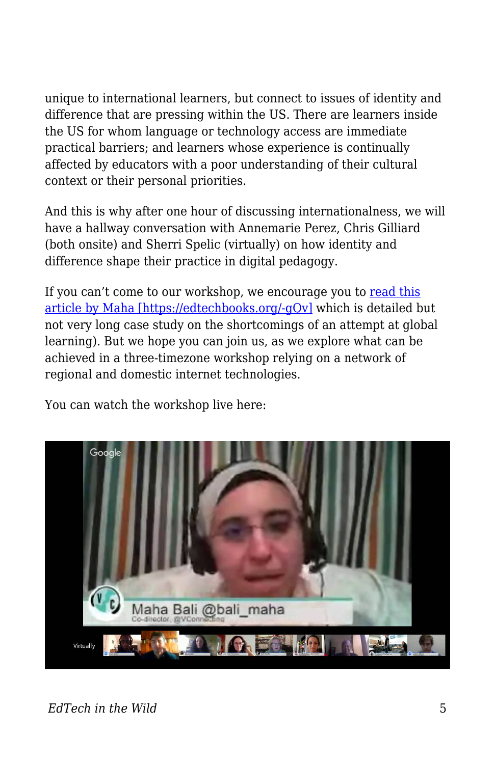unique to international learners, but connect to issues of identity and difference that are pressing within the US. There are learners inside the US for whom language or technology access are immediate practical barriers; and learners whose experience is continually affected by educators with a poor understanding of their cultural context or their personal priorities.

And this is why after one hour of discussing internationalness, we will have a hallway conversation with Annemarie Perez, Chris Gilliard (both onsite) and Sherri Spelic (virtually) on how identity and difference shape their practice in digital pedagogy.

If you can't come to our workshop, we encourage you to [read this](http://dar.aucegypt.edu/bitstream/handle/10526/4363/Final%20Maha%20Bali%20TiHE-PoD-Empowering_Sept30-13.pdf?sequence=1) [article by Maha \[https://edtechbooks.org/-gQv\]](http://dar.aucegypt.edu/bitstream/handle/10526/4363/Final%20Maha%20Bali%20TiHE-PoD-Empowering_Sept30-13.pdf?sequence=1) which is detailed but not very long case study on the shortcomings of an attempt at global learning). But we hope you can join us, as we explore what can be achieved in a three-timezone workshop relying on a network of regional and domestic internet technologies.

You can watch the workshop live here:



*EdTech in the Wild* 5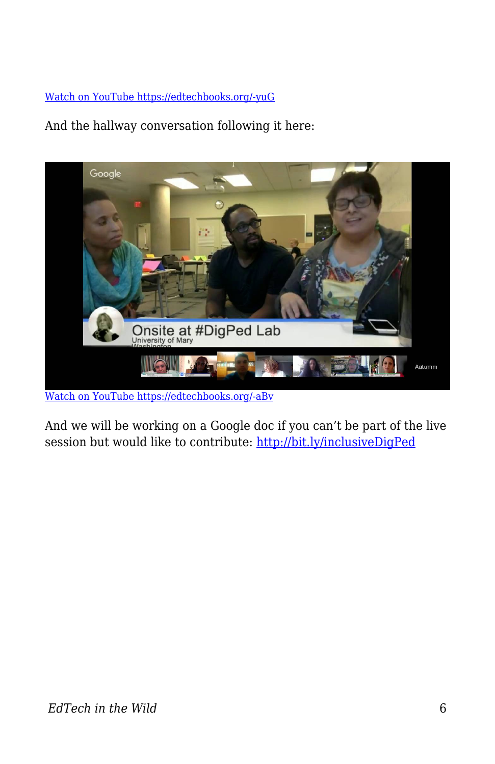## [Watch on YouTube https://edtechbooks.org/-yuG](https://www.youtube.com/embed/womry8IGJJY?autoplay=1&rel=0&showinfo=0&modestbranding=1)

And the hallway conversation following it here:



[Watch on YouTube https://edtechbooks.org/-aBv](https://www.youtube.com/embed/_e_vkOSHTjQ?autoplay=1&rel=0&showinfo=0&modestbranding=1)

And we will be working on a Google doc if you can't be part of the live session but would like to contribute:<http://bit.ly/inclusiveDigPed>